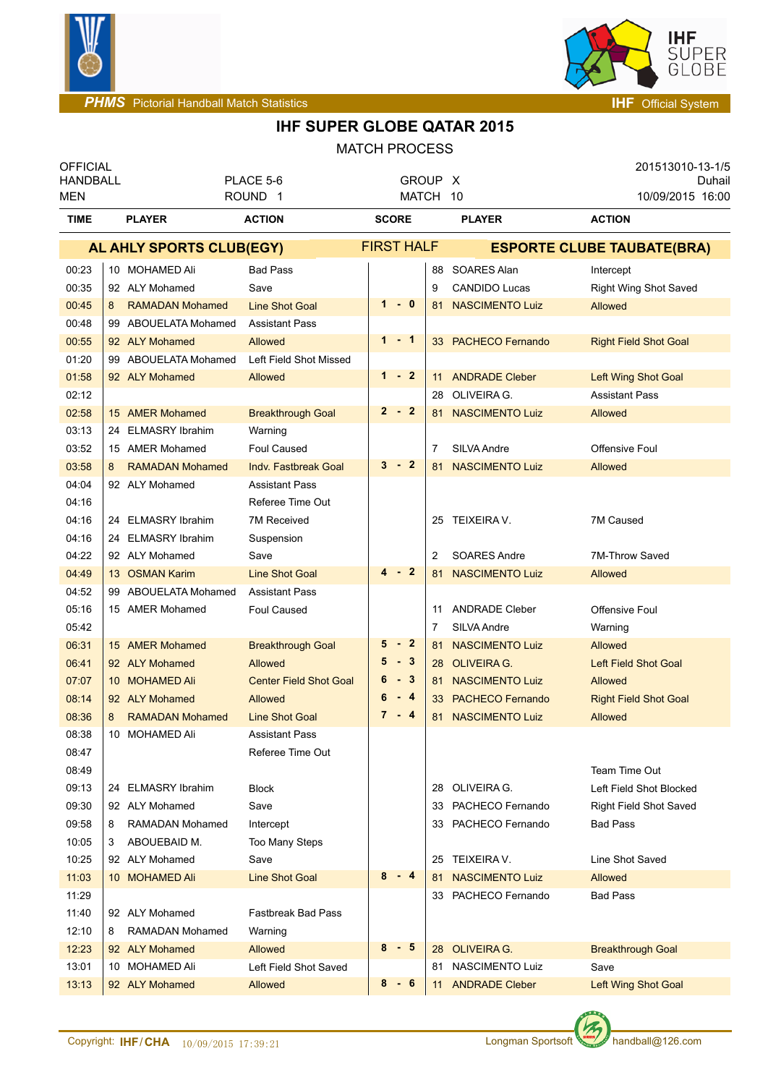



| <b>OFFICIAL</b><br><b>HANDBALL</b><br>PLACE 5-6 |                             |                               | <b>GROUP</b>      |    | - X                    | 201513010-13-1/5<br>Duhail        |
|-------------------------------------------------|-----------------------------|-------------------------------|-------------------|----|------------------------|-----------------------------------|
| MEN                                             |                             | ROUND <sub>1</sub>            |                   |    | MATCH 10               | 10/09/2015 16:00                  |
| <b>TIME</b>                                     | <b>PLAYER</b>               | <b>ACTION</b>                 |                   |    | <b>PLAYER</b>          | <b>ACTION</b>                     |
|                                                 | AL AHLY SPORTS CLUB(EGY)    |                               | <b>FIRST HALF</b> |    |                        | <b>ESPORTE CLUBE TAUBATE(BRA)</b> |
| 00:23                                           | 10 MOHAMED Ali              | <b>Bad Pass</b>               |                   | 88 | SOARES Alan            | Intercept                         |
| 00:35                                           | 92 ALY Mohamed              | Save                          |                   | 9  | <b>CANDIDO Lucas</b>   | <b>Right Wing Shot Saved</b>      |
| 00:45                                           | <b>RAMADAN Mohamed</b><br>8 | <b>Line Shot Goal</b>         | 1<br>- 0          | 81 | <b>NASCIMENTO Luiz</b> | <b>Allowed</b>                    |
| 00:48                                           | 99 ABOUELATA Mohamed        | <b>Assistant Pass</b>         |                   |    |                        |                                   |
| 00:55                                           | 92 ALY Mohamed              | Allowed                       | $1 - 1$           |    | 33 PACHECO Fernando    | <b>Right Field Shot Goal</b>      |
| 01:20                                           | 99 ABOUELATA Mohamed        | Left Field Shot Missed        |                   |    |                        |                                   |
| 01:58                                           | 92 ALY Mohamed              | Allowed                       | $1 - 2$           | 11 | <b>ANDRADE Cleber</b>  | Left Wing Shot Goal               |
| 02:12                                           |                             |                               |                   |    | 28 OLIVEIRA G.         | <b>Assistant Pass</b>             |
| 02:58                                           | 15 AMER Mohamed             | <b>Breakthrough Goal</b>      | $2 - 2$           |    | 81 NASCIMENTO Luiz     | Allowed                           |
| 03:13                                           | 24 ELMASRY Ibrahim          | Warning                       |                   |    |                        |                                   |
| 03:52                                           | 15 AMER Mohamed             | <b>Foul Caused</b>            |                   | 7  | SILVA Andre            | Offensive Foul                    |
| 03:58                                           | <b>RAMADAN Mohamed</b><br>8 | <b>Indv. Fastbreak Goal</b>   | $3 - 2$           | 81 | <b>NASCIMENTO Luiz</b> | <b>Allowed</b>                    |
| 04:04                                           | 92 ALY Mohamed              | <b>Assistant Pass</b>         |                   |    |                        |                                   |
| 04:16                                           |                             | Referee Time Out              |                   |    |                        |                                   |
| 04:16                                           | 24 ELMASRY Ibrahim          | 7M Received                   |                   |    | 25 TEIXEIRA V.         | 7M Caused                         |
| 04:16                                           | 24 ELMASRY Ibrahim          | Suspension                    |                   |    |                        |                                   |
| 04:22                                           | 92 ALY Mohamed              | Save                          |                   | 2  | <b>SOARES Andre</b>    | 7M-Throw Saved                    |
| 04:49                                           | 13 OSMAN Karim              | <b>Line Shot Goal</b>         | $4 - 2$           | 81 | <b>NASCIMENTO Luiz</b> | <b>Allowed</b>                    |
| 04:52                                           | 99 ABOUELATA Mohamed        | <b>Assistant Pass</b>         |                   |    |                        |                                   |
| 05:16                                           | 15 AMER Mohamed             | <b>Foul Caused</b>            |                   | 11 | <b>ANDRADE Cleber</b>  | Offensive Foul                    |
| 05:42                                           |                             |                               |                   | 7  | SILVA Andre            | Warning                           |
| 06:31                                           | 15 AMER Mohamed             | <b>Breakthrough Goal</b>      | 5<br>$-2$         | 81 | <b>NASCIMENTO Luiz</b> | Allowed                           |
| 06:41                                           | 92 ALY Mohamed              | Allowed                       | $-3$<br>5         |    | 28 OLIVEIRA G.         | <b>Left Field Shot Goal</b>       |
| 07:07                                           | 10 MOHAMED Ali              | <b>Center Field Shot Goal</b> | $-3$<br>6         |    | 81 NASCIMENTO Luiz     | <b>Allowed</b>                    |
| 08:14                                           | 92 ALY Mohamed              | Allowed                       | 6<br>$-4$         |    | 33 PACHECO Fernando    | <b>Right Field Shot Goal</b>      |
| 08:36                                           | 8<br><b>RAMADAN Mohamed</b> | Line Shot Goal                | $7 - 4$           | 81 | <b>NASCIMENTO Luiz</b> | Allowed                           |
| 08:38                                           | 10 MOHAMED Ali              | <b>Assistant Pass</b>         |                   |    |                        |                                   |
| 08:47                                           |                             | Referee Time Out              |                   |    |                        |                                   |
| 08:49                                           |                             |                               |                   |    |                        | Team Time Out                     |
| 09:13                                           | 24 ELMASRY Ibrahim          | <b>Block</b>                  |                   |    | 28 OLIVEIRA G.         | Left Field Shot Blocked           |
| 09:30                                           | 92 ALY Mohamed              | Save                          |                   |    | 33 PACHECO Fernando    | Right Field Shot Saved            |
| 09:58                                           | RAMADAN Mohamed<br>8        | Intercept                     |                   |    | 33 PACHECO Fernando    | <b>Bad Pass</b>                   |
| 10:05                                           | ABOUEBAID M.<br>3           | Too Many Steps                |                   |    |                        |                                   |
| 10:25                                           | 92 ALY Mohamed              | Save                          |                   |    | 25 TEIXEIRA V.         | Line Shot Saved                   |
| 11:03                                           | 10 MOHAMED Ali              | <b>Line Shot Goal</b>         | $8 - 4$           | 81 | <b>NASCIMENTO Luiz</b> | <b>Allowed</b>                    |
| 11:29                                           |                             |                               |                   | 33 | PACHECO Fernando       | <b>Bad Pass</b>                   |
| 11:40                                           | 92 ALY Mohamed              | Fastbreak Bad Pass            |                   |    |                        |                                   |
| 12:10                                           | RAMADAN Mohamed<br>8        | Warning                       |                   |    |                        |                                   |
| 12:23                                           | 92 ALY Mohamed              | Allowed                       | 8<br>- 5          |    | 28 OLIVEIRA G.         | <b>Breakthrough Goal</b>          |
| 13:01                                           | 10 MOHAMED Ali              | Left Field Shot Saved         |                   |    | 81 NASCIMENTO Luiz     | Save                              |
| 13:13                                           | 92 ALY Mohamed              | Allowed                       | $8 - 6$           | 11 | <b>ANDRADE Cleber</b>  | Left Wing Shot Goal               |

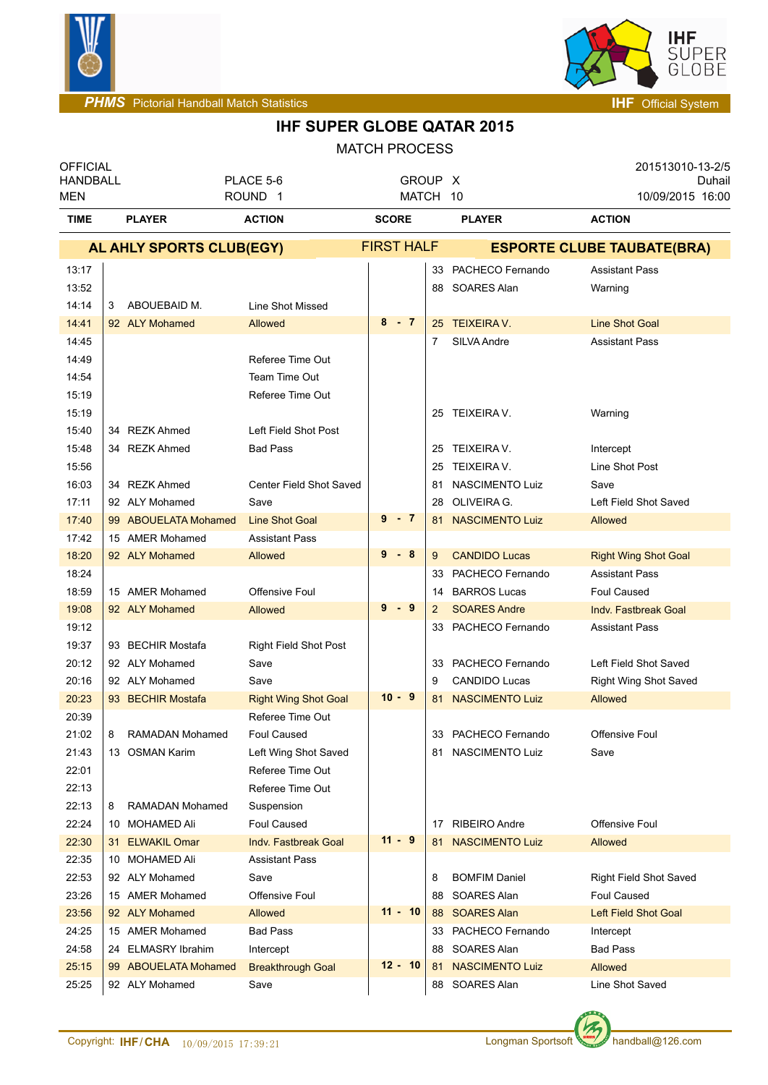

GLOBE

# **IHF SUPER GLOBE QATAR 2015**

| <b>OFFICIAL</b><br><b>HANDBALL</b><br>MEN |                                  | PLACE 5-6<br>ROUND <sub>1</sub> |                                     |                   | GROUP X<br>MATCH 10 |         |                                          | 201513010-13-2/5<br>Duhail<br>10/09/2015 16:00 |
|-------------------------------------------|----------------------------------|---------------------------------|-------------------------------------|-------------------|---------------------|---------|------------------------------------------|------------------------------------------------|
| <b>TIME</b>                               | <b>PLAYER</b>                    |                                 | <b>ACTION</b>                       | <b>SCORE</b>      |                     |         | <b>PLAYER</b>                            | <b>ACTION</b>                                  |
|                                           | AL AHLY SPORTS CLUB(EGY)         |                                 |                                     | <b>FIRST HALF</b> |                     |         |                                          | <b>ESPORTE CLUBE TAUBATE(BRA)</b>              |
| 13:17                                     |                                  |                                 |                                     |                   |                     |         | 33 PACHECO Fernando                      | <b>Assistant Pass</b>                          |
| 13:52                                     |                                  |                                 |                                     |                   |                     |         | 88 SOARES Alan                           | Warning                                        |
| 14:14                                     | ABOUEBAID M.<br>3                |                                 | Line Shot Missed                    |                   |                     |         |                                          |                                                |
| 14:41                                     | 92 ALY Mohamed                   |                                 | <b>Allowed</b>                      |                   | $8 - 7$             |         | 25 TEIXEIRA V.                           | <b>Line Shot Goal</b>                          |
| 14:45                                     |                                  |                                 |                                     |                   |                     | 7       | SILVA Andre                              | <b>Assistant Pass</b>                          |
| 14:49                                     |                                  |                                 | Referee Time Out                    |                   |                     |         |                                          |                                                |
| 14:54                                     |                                  |                                 | Team Time Out                       |                   |                     |         |                                          |                                                |
| 15:19                                     |                                  |                                 | Referee Time Out                    |                   |                     |         |                                          |                                                |
| 15:19                                     |                                  |                                 |                                     |                   |                     |         | 25 TEIXEIRA V.                           | Warning                                        |
| 15:40                                     | 34 REZK Ahmed                    |                                 | Left Field Shot Post                |                   |                     |         |                                          |                                                |
| 15:48                                     | 34 REZK Ahmed                    |                                 | <b>Bad Pass</b>                     |                   |                     |         | 25 TEIXEIRA V.                           | Intercept                                      |
| 15:56                                     |                                  |                                 |                                     |                   |                     | 25      | TEIXEIRA V.                              | Line Shot Post                                 |
| 16:03                                     | 34 REZK Ahmed                    |                                 | Center Field Shot Saved             |                   |                     | 81      | <b>NASCIMENTO Luiz</b>                   | Save                                           |
| 17:11                                     | 92 ALY Mohamed                   |                                 | Save                                |                   |                     | 28      | OLIVEIRA G.                              | Left Field Shot Saved                          |
| 17:40                                     | 99 ABOUELATA Mohamed             |                                 | <b>Line Shot Goal</b>               |                   | $9 - 7$             |         | 81 NASCIMENTO Luiz                       | Allowed                                        |
| 17:42                                     | 15 AMER Mohamed                  |                                 | <b>Assistant Pass</b>               |                   |                     |         |                                          |                                                |
| 18:20                                     | 92 ALY Mohamed                   |                                 | <b>Allowed</b>                      |                   | $9 - 8$             | 9       | <b>CANDIDO Lucas</b>                     | <b>Right Wing Shot Goal</b>                    |
| 18:24                                     |                                  |                                 |                                     |                   |                     | 33      | PACHECO Fernando                         | <b>Assistant Pass</b>                          |
| 18:59                                     | 15 AMER Mohamed                  |                                 | Offensive Foul                      |                   |                     | 14      | <b>BARROS Lucas</b>                      | Foul Caused                                    |
| 19:08                                     | 92 ALY Mohamed                   |                                 | <b>Allowed</b>                      |                   | $9 - 9$             | 2       | <b>SOARES Andre</b>                      | Indv. Fastbreak Goal                           |
| 19:12                                     |                                  |                                 |                                     |                   |                     |         | 33 PACHECO Fernando                      | <b>Assistant Pass</b>                          |
| 19:37                                     | 93 BECHIR Mostafa                |                                 | <b>Right Field Shot Post</b>        |                   |                     |         |                                          |                                                |
| 20:12<br>20:16                            | 92 ALY Mohamed<br>92 ALY Mohamed |                                 | Save                                |                   |                     | 33      | PACHECO Fernando<br><b>CANDIDO Lucas</b> | Left Field Shot Saved                          |
| 20:23                                     | 93 BECHIR Mostafa                |                                 | Save<br><b>Right Wing Shot Goal</b> |                   | $10 - 9$            | 9<br>81 | <b>NASCIMENTO Luiz</b>                   | Right Wing Shot Saved<br>Allowed               |
| 20:39                                     |                                  |                                 | Referee Time Out                    |                   |                     |         |                                          |                                                |
| 21:02                                     | 8<br><b>RAMADAN Mohamed</b>      |                                 | Foul Caused                         |                   |                     |         | 33 PACHECO Fernando                      | Offensive Foul                                 |
| 21:43                                     | 13 OSMAN Karim                   |                                 | Left Wing Shot Saved                |                   |                     |         | 81 NASCIMENTO Luiz                       | Save                                           |
| 22:01                                     |                                  |                                 | Referee Time Out                    |                   |                     |         |                                          |                                                |
| 22:13                                     |                                  |                                 | Referee Time Out                    |                   |                     |         |                                          |                                                |
| 22:13                                     | RAMADAN Mohamed<br>8             |                                 | Suspension                          |                   |                     |         |                                          |                                                |
| 22:24                                     | 10 MOHAMED Ali                   |                                 | <b>Foul Caused</b>                  |                   |                     | 17      | <b>RIBEIRO Andre</b>                     | Offensive Foul                                 |
| 22:30                                     | 31 ELWAKIL Omar                  |                                 | Indv. Fastbreak Goal                |                   | $11 - 9$            |         | 81 NASCIMENTO Luiz                       | Allowed                                        |
| 22:35                                     | 10 MOHAMED Ali                   |                                 | <b>Assistant Pass</b>               |                   |                     |         |                                          |                                                |
| 22:53                                     | 92 ALY Mohamed                   |                                 | Save                                |                   |                     | 8       | <b>BOMFIM Daniel</b>                     | Right Field Shot Saved                         |
| 23:26                                     | 15 AMER Mohamed                  |                                 | Offensive Foul                      |                   |                     | 88      | <b>SOARES Alan</b>                       | Foul Caused                                    |
| 23:56                                     | 92 ALY Mohamed                   |                                 | Allowed                             |                   | $11 - 10$           |         | 88 SOARES Alan                           | <b>Left Field Shot Goal</b>                    |
| 24:25                                     | 15 AMER Mohamed                  |                                 | <b>Bad Pass</b>                     |                   |                     |         | 33 PACHECO Fernando                      | Intercept                                      |
| 24:58                                     | 24 ELMASRY Ibrahim               |                                 | Intercept                           |                   |                     |         | 88 SOARES Alan                           | <b>Bad Pass</b>                                |
| 25:15                                     | 99 ABOUELATA Mohamed             |                                 | <b>Breakthrough Goal</b>            |                   | $12 - 10$           |         | 81 NASCIMENTO Luiz                       | <b>Allowed</b>                                 |
| 25:25                                     | 92 ALY Mohamed                   |                                 | Save                                |                   |                     |         | 88 SOARES Alan                           | Line Shot Saved                                |

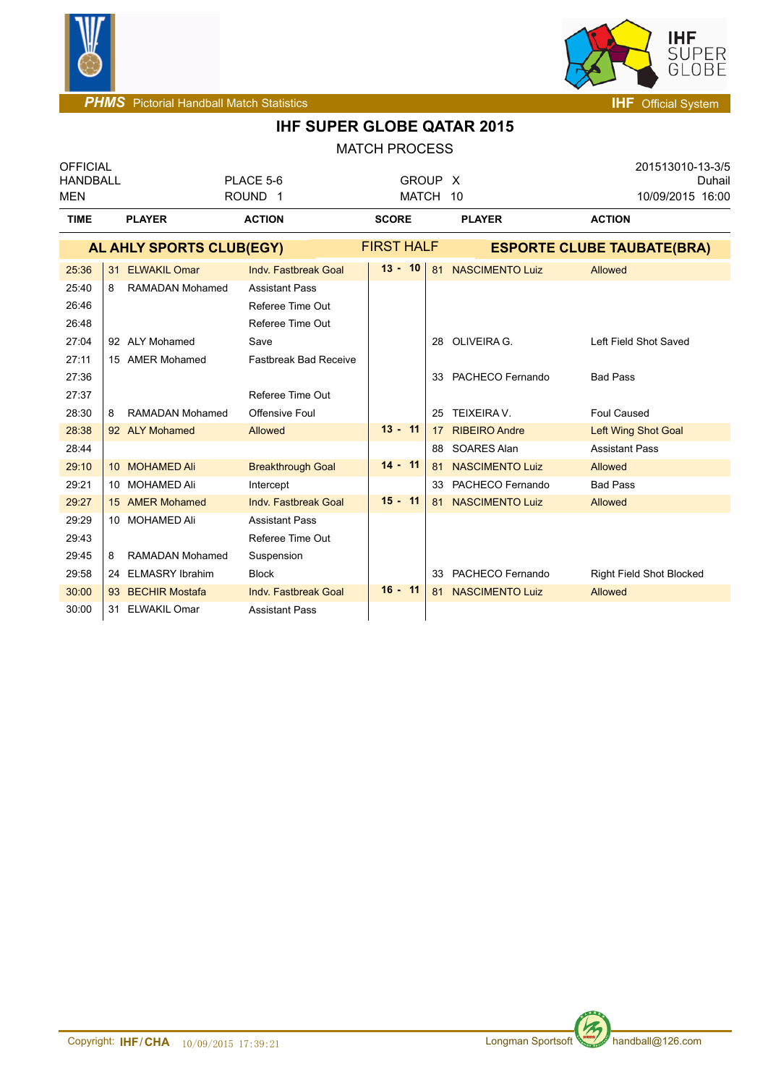



| <b>OFFICIAL</b><br><b>HANDBALL</b> |    |                        | PLACE 5-6                    | GROUP X           |    |                                   | 201513010-13-3/5<br>Duhail      |  |
|------------------------------------|----|------------------------|------------------------------|-------------------|----|-----------------------------------|---------------------------------|--|
| <b>MEN</b>                         |    |                        | ROUND <sub>1</sub>           | MATCH 10          |    |                                   | 10/09/2015 16:00                |  |
| <b>TIME</b>                        |    | <b>PLAYER</b>          | <b>ACTION</b>                | <b>SCORE</b>      |    | <b>PLAYER</b>                     | <b>ACTION</b>                   |  |
| AL AHLY SPORTS CLUB(EGY)           |    |                        |                              | <b>FIRST HALF</b> |    | <b>ESPORTE CLUBE TAUBATE(BRA)</b> |                                 |  |
| 25:36                              | 31 | <b>ELWAKIL Omar</b>    | Indv. Fastbreak Goal         | $13 - 10$         | 81 | <b>NASCIMENTO Luiz</b>            | Allowed                         |  |
| 25:40                              | 8  | <b>RAMADAN Mohamed</b> | <b>Assistant Pass</b>        |                   |    |                                   |                                 |  |
| 26:46                              |    |                        | Referee Time Out             |                   |    |                                   |                                 |  |
| 26:48                              |    |                        | Referee Time Out             |                   |    |                                   |                                 |  |
| 27:04                              |    | 92 ALY Mohamed         | Save                         |                   | 28 | OLIVEIRA G.                       | Left Field Shot Saved           |  |
| 27:11                              |    | 15 AMER Mohamed        | <b>Fastbreak Bad Receive</b> |                   |    |                                   |                                 |  |
| 27:36                              |    |                        |                              |                   | 33 | PACHECO Fernando                  | <b>Bad Pass</b>                 |  |
| 27:37                              |    |                        | Referee Time Out             |                   |    |                                   |                                 |  |
| 28:30                              | 8  | <b>RAMADAN Mohamed</b> | Offensive Foul               |                   | 25 | TEIXEIRA V.                       | <b>Foul Caused</b>              |  |
| 28:38                              |    | 92 ALY Mohamed         | Allowed                      | $13 - 11$         | 17 | <b>RIBEIRO Andre</b>              | Left Wing Shot Goal             |  |
| 28:44                              |    |                        |                              |                   |    | 88 SOARES Alan                    | <b>Assistant Pass</b>           |  |
| 29:10                              |    | 10 MOHAMED Ali         | <b>Breakthrough Goal</b>     | $14 - 11$         | 81 | <b>NASCIMENTO Luiz</b>            | Allowed                         |  |
| 29:21                              |    | 10 MOHAMED Ali         | Intercept                    |                   | 33 | PACHECO Fernando                  | <b>Bad Pass</b>                 |  |
| 29:27                              |    | 15 AMER Mohamed        | Indv. Fastbreak Goal         | $15 - 11$         |    | 81 NASCIMENTO Luiz                | Allowed                         |  |
| 29:29                              |    | 10 MOHAMED Ali         | <b>Assistant Pass</b>        |                   |    |                                   |                                 |  |
| 29:43                              |    |                        | Referee Time Out             |                   |    |                                   |                                 |  |
| 29:45                              | 8  | <b>RAMADAN Mohamed</b> | Suspension                   |                   |    |                                   |                                 |  |
| 29:58                              |    | 24 ELMASRY Ibrahim     | <b>Block</b>                 |                   | 33 | PACHECO Fernando                  | <b>Right Field Shot Blocked</b> |  |
| 30:00                              |    | 93 BECHIR Mostafa      | Indv. Fastbreak Goal         | $16 - 11$         | 81 | <b>NASCIMENTO Luiz</b>            | Allowed                         |  |
| 30:00                              |    | 31 ELWAKIL Omar        | <b>Assistant Pass</b>        |                   |    |                                   |                                 |  |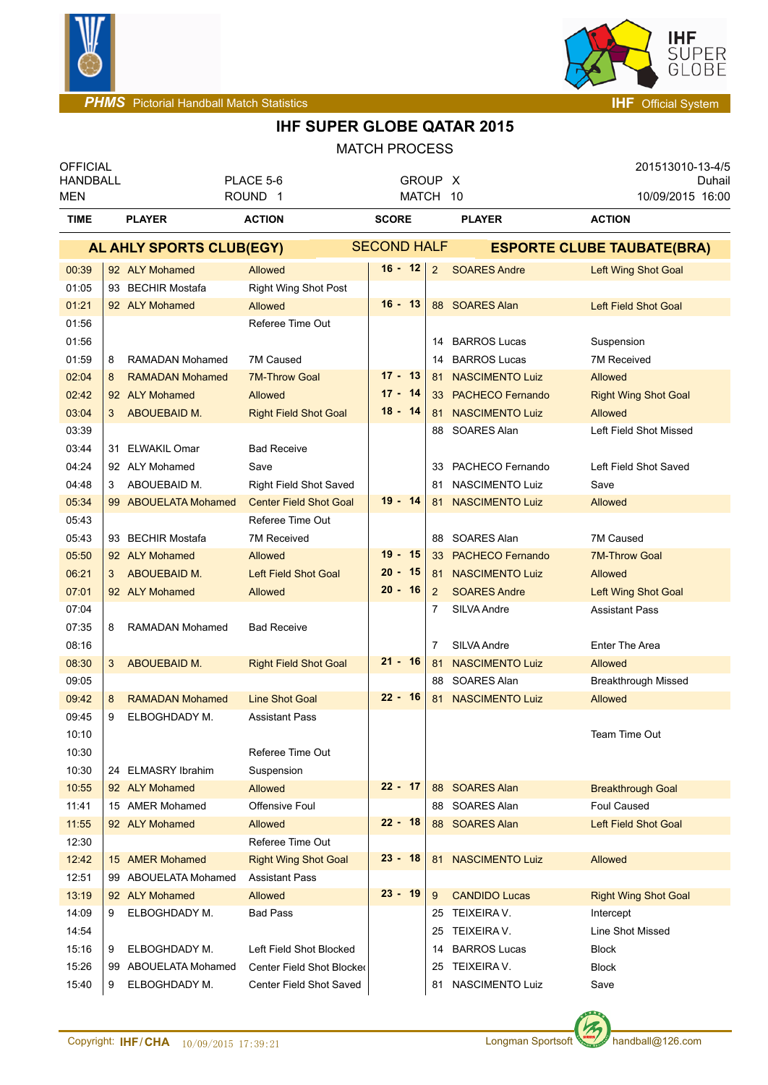



| <b>OFFICIAL</b><br><b>HANDBALL</b> |   |                        | PLACE 5-6                     |              | <b>GROUP</b>       |    | $\mathsf{X}$            | 201513010-13-4/5<br>Duhail        |
|------------------------------------|---|------------------------|-------------------------------|--------------|--------------------|----|-------------------------|-----------------------------------|
| ROUND <sub>1</sub><br>MEN          |   |                        | MATCH 10                      |              |                    |    | 10/09/2015 16:00        |                                   |
| <b>TIME</b>                        |   | <b>PLAYER</b>          | <b>ACTION</b>                 | <b>SCORE</b> |                    |    | <b>PLAYER</b>           | <b>ACTION</b>                     |
| AL AHLY SPORTS CLUB(EGY)           |   |                        |                               |              | <b>SECOND HALF</b> |    |                         | <b>ESPORTE CLUBE TAUBATE(BRA)</b> |
| 00:39                              |   | 92 ALY Mohamed         | <b>Allowed</b>                | $16 - 12$    | $\overline{2}$     |    | <b>SOARES Andre</b>     | Left Wing Shot Goal               |
| 01:05                              |   | 93 BECHIR Mostafa      | Right Wing Shot Post          |              |                    |    |                         |                                   |
| 01:21                              |   | 92 ALY Mohamed         | Allowed                       | $16 - 13$    |                    | 88 | <b>SOARES Alan</b>      | Left Field Shot Goal              |
| 01:56                              |   |                        | Referee Time Out              |              |                    |    |                         |                                   |
| 01:56                              |   |                        |                               |              |                    | 14 | <b>BARROS Lucas</b>     | Suspension                        |
| 01:59                              | 8 | <b>RAMADAN Mohamed</b> | 7M Caused                     |              |                    | 14 | <b>BARROS Lucas</b>     | 7M Received                       |
| 02:04                              | 8 | <b>RAMADAN Mohamed</b> | <b>7M-Throw Goal</b>          | $17 - 13$    |                    | 81 | <b>NASCIMENTO Luiz</b>  | Allowed                           |
| 02:42                              |   | 92 ALY Mohamed         | <b>Allowed</b>                | $17 - 14$    |                    |    | 33 PACHECO Fernando     | <b>Right Wing Shot Goal</b>       |
| 03:04                              | 3 | ABOUEBAID M.           | <b>Right Field Shot Goal</b>  | $18 - 14$    |                    |    | 81 NASCIMENTO Luiz      | Allowed                           |
| 03:39                              |   |                        |                               |              |                    | 88 | SOARES Alan             | Left Field Shot Missed            |
| 03:44                              |   | 31 ELWAKIL Omar        | <b>Bad Receive</b>            |              |                    |    |                         |                                   |
| 04:24                              |   | 92 ALY Mohamed         | Save                          |              |                    | 33 | PACHECO Fernando        | Left Field Shot Saved             |
| 04:48                              | 3 | ABOUEBAID M.           | <b>Right Field Shot Saved</b> |              |                    | 81 | NASCIMENTO Luiz         | Save                              |
| 05:34                              |   | 99 ABOUELATA Mohamed   | <b>Center Field Shot Goal</b> | $19 - 14$    |                    |    | 81 NASCIMENTO Luiz      | Allowed                           |
| 05:43                              |   |                        | Referee Time Out              |              |                    |    |                         |                                   |
| 05:43                              |   | 93 BECHIR Mostafa      | 7M Received                   |              |                    | 88 | SOARES Alan             | 7M Caused                         |
| 05:50                              |   | 92 ALY Mohamed         | Allowed                       | $19 - 15$    |                    | 33 | <b>PACHECO Fernando</b> | <b>7M-Throw Goal</b>              |
| 06:21                              | 3 | ABOUEBAID M.           | <b>Left Field Shot Goal</b>   | $20 - 15$    |                    | 81 | <b>NASCIMENTO Luiz</b>  | Allowed                           |
| 07:01                              |   | 92 ALY Mohamed         | Allowed                       | $20 - 16$    | $\overline{2}$     |    | <b>SOARES Andre</b>     | Left Wing Shot Goal               |
| 07:04                              |   |                        |                               |              | 7                  |    | SILVA Andre             | Assistant Pass                    |
| 07:35                              | 8 | RAMADAN Mohamed        | <b>Bad Receive</b>            |              |                    |    |                         |                                   |
| 08:16                              |   |                        |                               |              | 7                  |    | SILVA Andre             | <b>Enter The Area</b>             |
| 08:30                              | 3 | ABOUEBAID M.           | <b>Right Field Shot Goal</b>  | $21 - 16$    |                    | 81 | <b>NASCIMENTO Luiz</b>  | <b>Allowed</b>                    |
| 09:05                              |   |                        |                               |              |                    | 88 | SOARES Alan             | <b>Breakthrough Missed</b>        |
| 09:42                              | 8 | <b>RAMADAN Mohamed</b> | <b>Line Shot Goal</b>         | $22 - 16$    |                    | 81 | <b>NASCIMENTO Luiz</b>  | Allowed                           |
| 09:45                              | 9 | ELBOGHDADY M.          | <b>Assistant Pass</b>         |              |                    |    |                         |                                   |
| 10:10                              |   |                        |                               |              |                    |    |                         | Team Time Out                     |
| 10:30                              |   |                        | Referee Time Out              |              |                    |    |                         |                                   |
| 10:30                              |   | 24 ELMASRY Ibrahim     | Suspension                    |              |                    |    |                         |                                   |
| 10:55                              |   | 92 ALY Mohamed         | <b>Allowed</b>                | $22 - 17$    |                    |    | 88 SOARES Alan          | <b>Breakthrough Goal</b>          |
| 11:41                              |   | 15 AMER Mohamed        | Offensive Foul                |              |                    |    | 88 SOARES Alan          | <b>Foul Caused</b>                |
| 11:55                              |   | 92 ALY Mohamed         | <b>Allowed</b>                | $22 - 18$    |                    |    | 88 SOARES Alan          | Left Field Shot Goal              |
| 12:30                              |   |                        | Referee Time Out              |              |                    |    |                         |                                   |
| 12:42                              |   | 15 AMER Mohamed        | <b>Right Wing Shot Goal</b>   | 23 - 18      |                    |    | 81 NASCIMENTO Luiz      | Allowed                           |
| 12:51                              |   | 99 ABOUELATA Mohamed   | <b>Assistant Pass</b>         |              |                    |    |                         |                                   |
| 13:19                              |   | 92 ALY Mohamed         | <b>Allowed</b>                | $23 - 19$    | 9                  |    | <b>CANDIDO Lucas</b>    | <b>Right Wing Shot Goal</b>       |
| 14:09                              | 9 | ELBOGHDADY M.          | <b>Bad Pass</b>               |              |                    |    | 25 TEIXEIRA V.          | Intercept                         |
| 14:54                              |   |                        |                               |              |                    | 25 | TEIXEIRA V.             | Line Shot Missed                  |
| 15:16                              | 9 | ELBOGHDADY M.          | Left Field Shot Blocked       |              |                    | 14 | <b>BARROS Lucas</b>     | <b>Block</b>                      |
| 15:26                              |   | 99 ABOUELATA Mohamed   | Center Field Shot Blocked     |              |                    | 25 | TEIXEIRA V.             | <b>Block</b>                      |
| 15:40                              | 9 | ELBOGHDADY M.          | Center Field Shot Saved       |              |                    | 81 | NASCIMENTO Luiz         | Save                              |